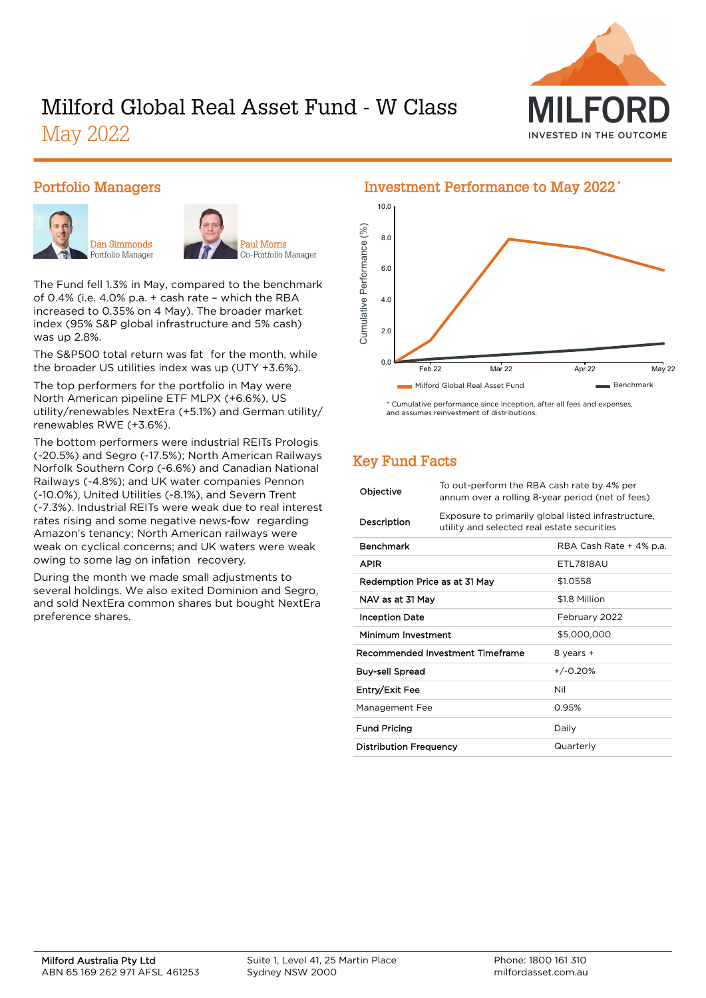

# Milford Global Real Asset Fund - W Class May 2022

#### Portfolio Managers





Paul Morris Co-Portfolio Manager

The Fund fell 1.3% in May, compared to the benchmark of 0.4% (i.e. 4.0% p.a. + cash rate – which the RBA increased to 0.35% on 4 May). The broader market index (95% S&P global infrastructure and 5% cash) was up 2.8%.

The S&P500 total return was fat for the month, while the broader US utilities index was up (UTY +3.6%).

The top performers for the portfolio in May were North American pipeline ETF MLPX (+6.6%), US utility/renewables NextEra (+5.1%) and German utility/ renewables RWE (+3.6%).

The bottom performers were industrial REITs Prologis (-20.5%) and Segro (-17.5%); North American Railways Norfolk Southern Corp (-6.6%) and Canadian National Railways (-4.8%); and UK water companies Pennon (-10.0%), United Utilities (-8.1%), and Severn Trent (-7.3%). Industrial REITs were weak due to real interest rates rising and some negative news-fow regarding Amazon's tenancy; North American railways were weak on cyclical concerns; and UK waters were weak owing to some lag on infation recovery.

During the month we made small adjustments to several holdings. We also exited Dominion and Segro, and sold NextEra common shares but bought NextEra preference shares.

## 10.0 Cumulative Performance (%) Cumulative Performance (%) 8.0 6.0 4.0 2.0 0.0 Feb 22 Mar 22 Apr 22 May 22 Milford Global Real Asset Fund Benchmark

\* Cumulative performance since inception, after all fees and expenses, and assumes reinvestment of distributions.

## Key Fund Facts

| Objective                        | To out-perform the RBA cash rate by 4% per<br>annum over a rolling 8-year period (net of fees)     |                         |  |
|----------------------------------|----------------------------------------------------------------------------------------------------|-------------------------|--|
| Description                      | Exposure to primarily global listed infrastructure,<br>utility and selected real estate securities |                         |  |
| <b>Benchmark</b>                 |                                                                                                    | RBA Cash Rate + 4% p.a. |  |
| <b>APIR</b>                      |                                                                                                    | <b>FTI 7818AU</b>       |  |
| Redemption Price as at 31 May    |                                                                                                    | \$1.0558                |  |
| NAV as at 31 May                 |                                                                                                    | \$1.8 Million           |  |
| <b>Inception Date</b>            |                                                                                                    | February 2022           |  |
| Minimum Investment               |                                                                                                    | \$5,000,000             |  |
| Recommended Investment Timeframe |                                                                                                    | 8 years +               |  |
| Buy-sell Spread                  |                                                                                                    | $+/-0.20%$              |  |
| Entry/Exit Fee                   |                                                                                                    | Nil                     |  |
| Management Fee                   |                                                                                                    | 0.95%                   |  |
| <b>Fund Pricing</b>              |                                                                                                    | Daily                   |  |
| <b>Distribution Frequency</b>    |                                                                                                    | Quarterly               |  |

#### Investment Performance to May 2022 \*